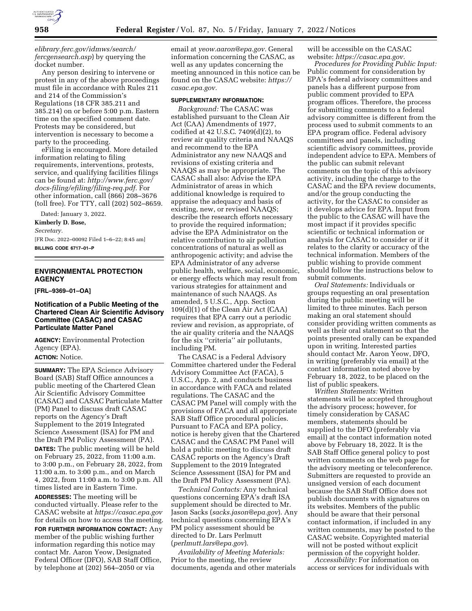

*[elibrary.ferc.gov/idmws/search/](https://elibrary.ferc.gov/idmws/search/fercgensearch.asp)  [fercgensearch.asp](https://elibrary.ferc.gov/idmws/search/fercgensearch.asp)*) by querying the docket number.

Any person desiring to intervene or protest in any of the above proceedings must file in accordance with Rules 211 and 214 of the Commission's Regulations (18 CFR 385.211 and 385.214) on or before 5:00 p.m. Eastern time on the specified comment date. Protests may be considered, but intervention is necessary to become a party to the proceeding.

eFiling is encouraged. More detailed information relating to filing requirements, interventions, protests, service, and qualifying facilities filings can be found at: *[http://www.ferc.gov/](http://www.ferc.gov/docs-filing/efiling/filing-req.pdf)  [docs-filing/efiling/filing-req.pdf.](http://www.ferc.gov/docs-filing/efiling/filing-req.pdf)* For other information, call (866) 208–3676 (toll free). For TTY, call (202) 502–8659.

Dated: January 3, 2022.

**Kimberly D. Bose,**  *Secretary.* 

[FR Doc. 2022–00092 Filed 1–6–22; 8:45 am] **BILLING CODE 6717–01–P** 

# **ENVIRONMENTAL PROTECTION AGENCY**

**[FRL–9369–01–OA]** 

## **Notification of a Public Meeting of the Chartered Clean Air Scientific Advisory Committee (CASAC) and CASAC Particulate Matter Panel**

**AGENCY:** Environmental Protection Agency (EPA). **ACTION:** Notice.

**SUMMARY:** The EPA Science Advisory Board (SAB) Staff Office announces a public meeting of the Chartered Clean Air Scientific Advisory Committee (CASAC) and CASAC Particulate Matter (PM) Panel to discuss draft CASAC reports on the Agency's Draft Supplement to the 2019 Integrated Science Assessment (ISA) for PM and the Draft PM Policy Assessment (PA). **DATES:** The public meeting will be held on February 25, 2022, from 11:00 a.m. to 3:00 p.m., on February 28, 2022, from 11:00 a.m. to 3:00 p.m., and on March 4, 2022, from 11:00 a.m. to 3:00 p.m. All times listed are in Eastern Time.

**ADDRESSES:** The meeting will be conducted virtually. Please refer to the CASAC website at *<https://casac.epa.gov>* for details on how to access the meeting.

**FOR FURTHER INFORMATION CONTACT:** Any member of the public wishing further information regarding this notice may contact Mr. Aaron Yeow, Designated Federal Officer (DFO), SAB Staff Office, by telephone at (202) 564–2050 or via

email at *[yeow.aaron@epa.gov.](mailto:yeow.aaron@epa.gov)* General information concerning the CASAC, as well as any updates concerning the meeting announced in this notice can be found on the CASAC website: *[https://](https://casac.epa.gov) [casac.epa.gov.](https://casac.epa.gov)* 

### **SUPPLEMENTARY INFORMATION:**

*Background:* The CASAC was established pursuant to the Clean Air Act (CAA) Amendments of 1977, codified at 42 U.S.C. 7409(d)(2), to review air quality criteria and NAAQS and recommend to the EPA Administrator any new NAAQS and revisions of existing criteria and NAAQS as may be appropriate. The CASAC shall also: Advise the EPA Administrator of areas in which additional knowledge is required to appraise the adequacy and basis of existing, new, or revised NAAQS; describe the research efforts necessary to provide the required information; advise the EPA Administrator on the relative contribution to air pollution concentrations of natural as well as anthropogenic activity; and advise the EPA Administrator of any adverse public health, welfare, social, economic, or energy effects which may result from various strategies for attainment and maintenance of such NAAQS. As amended, 5 U.S.C., App. Section 109(d)(1) of the Clean Air Act (CAA) requires that EPA carry out a periodic review and revision, as appropriate, of the air quality criteria and the NAAQS for the six ''criteria'' air pollutants, including PM.

The CASAC is a Federal Advisory Committee chartered under the Federal Advisory Committee Act (FACA), 5 U.S.C., App. 2, and conducts business in accordance with FACA and related regulations. The CASAC and the CASAC PM Panel will comply with the provisions of FACA and all appropriate SAB Staff Office procedural policies. Pursuant to FACA and EPA policy, notice is hereby given that the Chartered CASAC and the CASAC PM Panel will hold a public meeting to discuss draft CASAC reports on the Agency's Draft Supplement to the 2019 Integrated Science Assessment (ISA) for PM and the Draft PM Policy Assessment (PA).

*Technical Contacts:* Any technical questions concerning EPA's draft ISA supplement should be directed to Mr. Jason Sacks (*[sacks.jason@epa.gov](mailto:sacks.jason@epa.gov)*). Any technical questions concerning EPA's PM policy assessment should be directed to Dr. Lars Perlmutt (*[perlmutt.lars@epa.gov](mailto:perlmutt.lars@epa.gov)*).

*Availability of Meeting Materials:*  Prior to the meeting, the review documents, agenda and other materials will be accessible on the CASAC website: *[https://casac.epa.gov.](https://casac.epa.gov)* 

*Procedures for Providing Public Input:*  Public comment for consideration by EPA's federal advisory committees and panels has a different purpose from public comment provided to EPA program offices. Therefore, the process for submitting comments to a federal advisory committee is different from the process used to submit comments to an EPA program office. Federal advisory committees and panels, including scientific advisory committees, provide independent advice to EPA. Members of the public can submit relevant comments on the topic of this advisory activity, including the charge to the CASAC and the EPA review documents, and/or the group conducting the activity, for the CASAC to consider as it develops advice for EPA. Input from the public to the CASAC will have the most impact if it provides specific scientific or technical information or analysis for CASAC to consider or if it relates to the clarity or accuracy of the technical information. Members of the public wishing to provide comment should follow the instructions below to submit comments.

*Oral Statements:* Individuals or groups requesting an oral presentation during the public meeting will be limited to three minutes. Each person making an oral statement should consider providing written comments as well as their oral statement so that the points presented orally can be expanded upon in writing. Interested parties should contact Mr. Aaron Yeow, DFO, in writing (preferably via email) at the contact information noted above by February 18, 2022, to be placed on the list of public speakers.

*Written Statements:* Written statements will be accepted throughout the advisory process; however, for timely consideration by CASAC members, statements should be supplied to the DFO (preferably via email) at the contact information noted above by February 18, 2022. It is the SAB Staff Office general policy to post written comments on the web page for the advisory meeting or teleconference. Submitters are requested to provide an unsigned version of each document because the SAB Staff Office does not publish documents with signatures on its websites. Members of the public should be aware that their personal contact information, if included in any written comments, may be posted to the CASAC website. Copyrighted material will not be posted without explicit permission of the copyright holder.

*Accessibility:* For information on access or services for individuals with